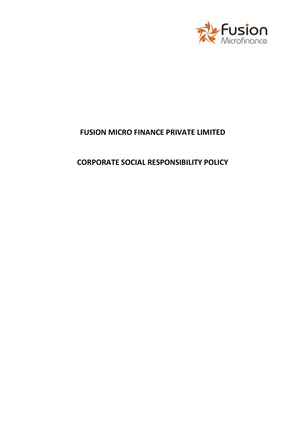

# **FUSION MICRO FINANCE PRIVATE LIMITED**

## **CORPORATE SOCIAL RESPONSIBILITY POLICY**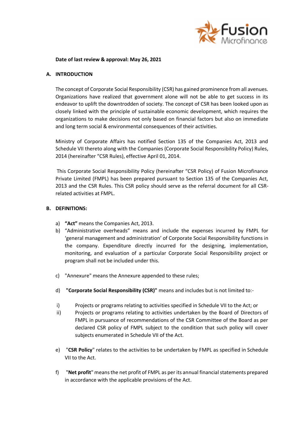

#### **Date of last review & approval: May 26, 2021**

#### **A. INTRODUCTION**

The concept of Corporate Social Responsibility (CSR) has gained prominence from all avenues. Organizations have realized that government alone will not be able to get success in its endeavor to uplift the downtrodden of society. The concept of CSR has been looked upon as closely linked with the principle of sustainable economic development, which requires the organizations to make decisions not only based on financial factors but also on immediate and long term social & environmental consequences of their activities.

Ministry of Corporate Affairs has notified Section 135 of the Companies Act, 2013 and Schedule VII thereto along with the Companies (Corporate Social Responsibility Policy) Rules, 2014 (hereinafter "CSR Rules), effective April 01, 2014.

This Corporate Social Responsibility Policy (hereinafter "CSR Policy) of Fusion Microfinance Private Limited (FMPL) has been prepared pursuant to Section 135 of the Companies Act, 2013 and the CSR Rules. This CSR policy should serve as the referral document for all CSRrelated activities at FMPL.

#### **B. DEFINITIONS:**

- a) **"Act"** means the Companies Act, 2013.
- b) "Administrative overheads" means and include the expenses incurred by FMPL for 'general management and administration' of Corporate Social Responsibility functions in the company. Expenditure directly incurred for the designing, implementation, monitoring, and evaluation of a particular Corporate Social Responsibility project or program shall not be included under this.
- c) "Annexure" means the Annexure appended to these rules;
- d) **"Corporate Social Responsibility (CSR)"** means and includes but is not limited to:-
- i) Projects or programs relating to activities specified in Schedule VII to the Act; or
- ii) Projects or programs relating to activities undertaken by the Board of Directors of FMPL in pursuance of recommendations of the CSR Committee of the Board as per declared CSR policy of FMPL subject to the condition that such policy will cover subjects enumerated in Schedule VII of the Act.
- e) "**CSR Policy**" relates to the activities to be undertaken by FMPL as specified in Schedule VII to the Act.
- f) "**Net profit**" means the net profit of FMPL as per its annual financial statements prepared in accordance with the applicable provisions of the Act.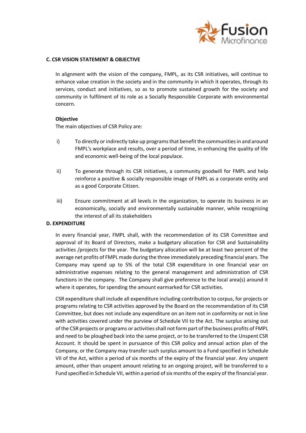

#### **C. CSR VISION STATEMENT & OBJECTIVE**

In alignment with the vision of the company, FMPL, as its CSR initiatives, will continue to enhance value creation in the society and in the community in which it operates, through its services, conduct and initiatives, so as to promote sustained growth for the society and community in fulfilment of its role as a Socially Responsible Corporate with environmental concern.

## **Objective**

The main objectives of CSR Policy are:

- i) To directly or indirectly take up programs that benefit the communities in and around FMPL's workplace and results, over a period of time, in enhancing the quality of life and economic well-being of the local populace.
- ii) To generate through its CSR initiatives, a community goodwill for FMPL and help reinforce a positive & socially responsible image of FMPL as a corporate entity and as a good Corporate Citizen.
- iii) Ensure commitment at all levels in the organization, to operate its business in an economically, socially and environmentally sustainable manner, while recognizing the interest of all its stakeholders

### **D. EXPENDITURE**

In every financial year, FMPL shall, with the recommendation of its CSR Committee and approval of its Board of Directors, make a budgetary allocation for CSR and Sustainability activities /projects for the year. The budgetary allocation will be at least two percent of the average net profits of FMPL made during the three immediately preceding financial years. The Company may spend up to 5% of the total CSR expenditure in one financial year on administrative expenses relating to the general management and administration of CSR functions in the company. The Company shall give preference to the local area(s) around it where it operates, for spending the amount earmarked for CSR activities.

CSR expenditure shall include all expenditure including contribution to corpus, for projects or programs relating to CSR activities approved by the Board on the recommendation of its CSR Committee, but does not include any expenditure on an item not in conformity or not in line with activities covered under the purview of Schedule VII to the Act. The surplus arising out of the CSR projects or programs or activities shall not form part of the business profits of FMPL and need to be ploughed back into the same project, or to be transferred to the Unspent CSR Account. It should be spent in pursuance of this CSR policy and annual action plan of the Company, or the Company may transfer such surplus amount to a Fund specified in Schedule VII of the Act, within a period of six months of the expiry of the financial year. Any unspent amount, other than unspent amount relating to an ongoing project, will be transferred to a Fund specified in Schedule VII, within a period of six months of the expiry of the financial year.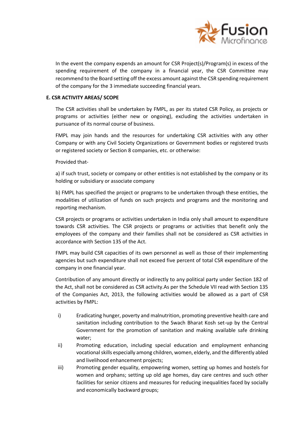

In the event the company expends an amount for CSR Project(s)/Program(s) in excess of the spending requirement of the company in a financial year, the CSR Committee may recommend to the Board setting off the excess amount against the CSR spending requirement of the company for the 3 immediate succeeding financial years.

## **E. CSR ACTIVITY AREAS/ SCOPE**

The CSR activities shall be undertaken by FMPL, as per its stated CSR Policy, as projects or programs or activities (either new or ongoing), excluding the activities undertaken in pursuance of its normal course of business.

FMPL may join hands and the resources for undertaking CSR activities with any other Company or with any Civil Society Organizations or Government bodies or registered trusts or registered society or Section 8 companies, etc. or otherwise:

Provided that-

a) if such trust, society or company or other entities is not established by the company or its holding or subsidiary or associate company

b) FMPL has specified the project or programs to be undertaken through these entities, the modalities of utilization of funds on such projects and programs and the monitoring and reporting mechanism.

CSR projects or programs or activities undertaken in India only shall amount to expenditure towards CSR activities. The CSR projects or programs or activities that benefit only the employees of the company and their families shall not be considered as CSR activities in accordance with Section 135 of the Act.

FMPL may build CSR capacities of its own personnel as well as those of their implementing agencies but such expenditure shall not exceed five percent of total CSR expenditure of the company in one financial year.

Contribution of any amount directly or indirectly to any political party under Section 182 of the Act, shall not be considered as CSR activity.As per the Schedule VII read with Section 135 of the Companies Act, 2013, the following activities would be allowed as a part of CSR activities by FMPL:

- i) Eradicating hunger, poverty and malnutrition, promoting preventive health care and sanitation including contribution to the Swach Bharat Kosh set-up by the Central Government for the promotion of sanitation and making available safe drinking water;
- ii) Promoting education, including special education and employment enhancing vocational skills especially among children, women, elderly, and the differently abled and livelihood enhancement projects;
- iii) Promoting gender equality, empowering women, setting up homes and hostels for women and orphans; setting up old age homes, day care centres and such other facilities for senior citizens and measures for reducing inequalities faced by socially and economically backward groups;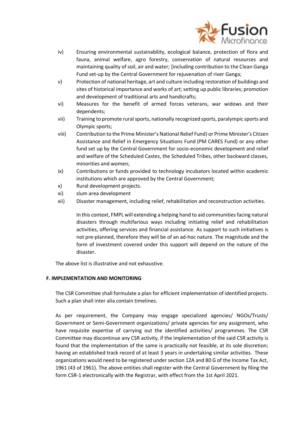

- iv) Ensuring environmental sustainability, ecological balance, protection of flora and fauna, animal welfare, agro forestry, conservation of natural resources and maintaining quality of soil, air and water; [including contribution to the Clean Ganga Fund set-up by the Central Government for rejuvenation of river Ganga;
- v) Protection of national heritage, art and culture including restoration of buildings and sites of historical importance and works of art; setting up public libraries; promotion and development of traditional arts and handicrafts;
- vi) Measures for the benefit of armed forces veterans, war widows and their dependents;
- vii) Training to promote rural sports, nationally recognized sports, paralympic sports and Olympic sports;
- viii) Contribution to the Prime Minister's National Relief Fund) or Prime Minister's Citizen Assistance and Relief in Emergency Situations Fund (PM CARES Fund) or any other fund set up by the Central Government for socio-economic development and relief and welfare of the Scheduled Castes, the Scheduled Tribes, other backward classes, minorities and women;
- ix) Contributions or funds provided to technology incubators located within academic institutions which are approved by the Central Government;
- x) Rural development projects.
- xi) slum area development
- xii) Disaster management, including relief, rehabilitation and reconstruction activities.

In this context, FMPL will extending a helping hand to aid communities facing natural disasters through multifarious ways including initiating relief and rehabilitation activities, offering services and financial assistance. As support to such initiatives is not pre-planned, therefore they will be of an ad-hoc nature. The magnitude and the form of investment covered under this support will depend on the nature of the disaster.

The above list is illustrative and not exhaustive.

#### **F. IMPLEMENTATION AND MONITORING**

The CSR Committee shall formulate a plan for efficient implementation of identified projects. Such a plan shall inter alia contain timelines.

As per requirement, the Company may engage specialized agencies/ NGOs/Trusts/ Government or Semi-Government organizations/ private agencies for any assignment, who have requisite expertise of carrying out the identified activities/ programmes. The CSR Committee may discontinue any CSR activity, if the implementation of the said CSR activity is found that the implementation of the same is practically not feasible, at its sole discretion; having an established track record of at least 3 years in undertaking similar activities. These organizations would need to be registered under section 12A and 80 G of the Income Tax Act, 1961 (43 of 1961). The above entities shall register with the Central Government by filing the form CSR-1 electronically with the Registrar, with effect from the 1st April 2021.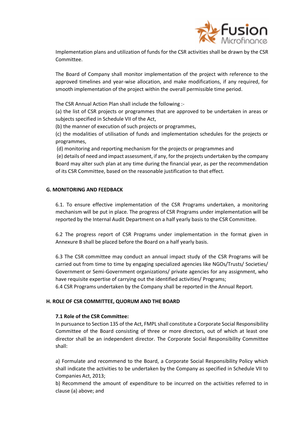

Implementation plans and utilization of funds for the CSR activities shall be drawn by the CSR Committee.

The Board of Company shall monitor implementation of the project with reference to the approved timelines and year-wise allocation, and make modifications, if any required, for smooth implementation of the project within the overall permissible time period.

The CSR Annual Action Plan shall include the following :-

(a) the list of CSR projects or programmes that are approved to be undertaken in areas or subjects specified in Schedule VII of the Act,

(b) the manner of execution of such projects or programmes,

(c) the modalities of utilisation of funds and implementation schedules for the projects or programmes,

(d) monitoring and reporting mechanism for the projects or programmes and

(e) details of need and impact assessment, if any, for the projects undertaken by the company Board may alter such plan at any time during the financial year, as per the recommendation of its CSR Committee, based on the reasonable justification to that effect.

#### **G. MONITORING AND FEEDBACK**

6.1. To ensure effective implementation of the CSR Programs undertaken, a monitoring mechanism will be put in place. The progress of CSR Programs under implementation will be reported by the Internal Audit Department on a half yearly basis to the CSR Committee.

6.2 The progress report of CSR Programs under implementation in the format given in Annexure B shall be placed before the Board on a half yearly basis.

6.3 The CSR committee may conduct an annual impact study of the CSR Programs will be carried out from time to time by engaging specialized agencies like NGOs/Trusts/ Societies/ Government or Semi-Government organizations/ private agencies for any assignment, who have requisite expertise of carrying out the identified activities/ Programs;

6.4 CSR Programs undertaken by the Company shall be reported in the Annual Report.

#### **H. ROLE OF CSR COMMITTEE, QUORUM AND THE BOARD**

#### **7.1 Role of the CSR Committee:**

In pursuance to Section 135 of the Act, FMPL shall constitute a Corporate Social Responsibility Committee of the Board consisting of three or more directors, out of which at least one director shall be an independent director. The Corporate Social Responsibility Committee shall:

a) Formulate and recommend to the Board, a Corporate Social Responsibility Policy which shall indicate the activities to be undertaken by the Company as specified in Schedule VII to Companies Act, 2013;

b) Recommend the amount of expenditure to be incurred on the activities referred to in clause (a) above; and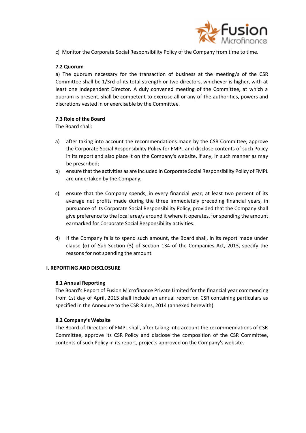

c) Monitor the Corporate Social Responsibility Policy of the Company from time to time.

## **7.2 Quorum**

a) The quorum necessary for the transaction of business at the meeting/s of the CSR Committee shall be 1/3rd of its total strength or two directors, whichever is higher, with at least one Independent Director. A duly convened meeting of the Committee, at which a quorum is present, shall be competent to exercise all or any of the authorities, powers and discretions vested in or exercisable by the Committee.

## **7.3 Role of the Board**

The Board shall:

- a) after taking into account the recommendations made by the CSR Committee, approve the Corporate Social Responsibility Policy for FMPL and disclose contents of such Policy in its report and also place it on the Company's website, if any, in such manner as may be prescribed;
- b) ensure that the activities as are included in Corporate Social Responsibility Policy of FMPL are undertaken by the Company;
- c) ensure that the Company spends, in every financial year, at least two percent of its average net profits made during the three immediately preceding financial years, in pursuance of its Corporate Social Responsibility Policy, provided that the Company shall give preference to the local area/s around it where it operates, for spending the amount earmarked for Corporate Social Responsibility activities.
- d) If the Company fails to spend such amount, the Board shall, in its report made under clause (o) of Sub-Section (3) of Section 134 of the Companies Act, 2013, specify the reasons for not spending the amount.

#### **I. REPORTING AND DISCLOSURE**

#### **8.1 Annual Reporting**

The Board's Report of Fusion Microfinance Private Limited for the financial year commencing from 1st day of April, 2015 shall include an annual report on CSR containing particulars as specified in the Annexure to the CSR Rules, 2014 (annexed herewith).

#### **8.2 Company's Website**

The Board of Directors of FMPL shall, after taking into account the recommendations of CSR Committee, approve its CSR Policy and disclose the composition of the CSR Committee, contents of such Policy in its report, projects approved on the Company's website.